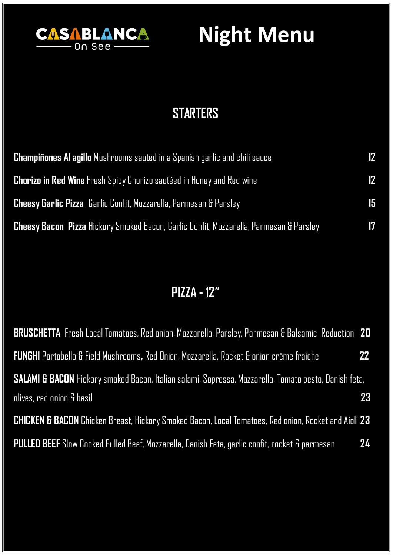

# **Night Menu**

### **STARTERS**

| <b>Champiñones AI agillo</b> Mushrooms sauted in a Spanish garlic and chili sauce      | 12 |
|----------------------------------------------------------------------------------------|----|
| <b>Chorizo in Red Wine</b> Fresh Spicy Chorizo sautéed in Honey and Red wine           | 12 |
| <b>Cheesy Garlic Pizza</b> Garlic Confit, Mozzarella, Parmesan & Parsley               | 15 |
| Cheesy Bacon Pizza Hickory Smoked Bacon, Garlic Confit, Mozzarella, Parmesan & Parsley | 17 |

### **PIZZA - 12"**

| <b>BRUSCHETTA</b> Fresh Local Tomatoes, Red onion, Mozzarella, Parsley, Parmesan & Balsamic Reduction 20        |                 |
|-----------------------------------------------------------------------------------------------------------------|-----------------|
| <b>FUNGHI</b> Portobello & Field Mushrooms, Red Dnion, Mozzarella, Rocket & onion crème fraiche                 | 22 <sub>2</sub> |
| SALAMI & BACON Hickory smoked Bacon, Italian salami, Sopressa, Mozzarella, Tomato pesto, Danish feta,           |                 |
| olives, red onion & basil                                                                                       | 23              |
| <b>CHICKEN &amp; BACON</b> Chicken Breast, Hickory Smoked Bacon, Local Tomatoes, Red onion, Rocket and Aioli 23 |                 |
| <b>PULLED BEEF</b> Slow Cooked Pulled Beef, Mozzarella, Danish Feta, garlic confit, rocket & parmesan           | 24              |